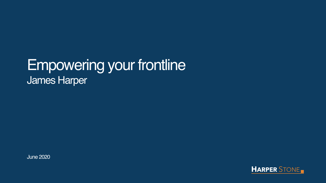# Empowering your frontline James Harper

June 2020

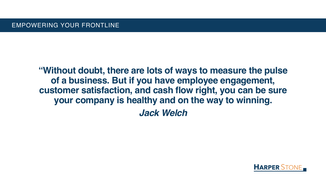



# **"Without doubt, there are lots of ways to measure the pulse of a business. But if you have employee engagement, customer satisfaction, and cash flow right, you can be sure your company is healthy and on the way to winning.** *Jack Welch*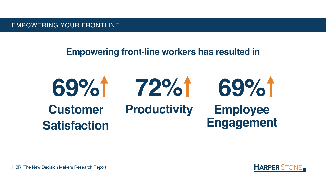



# **69% 69% 72% Customer Satisfaction Employee Engagement Productivity**

# **Empowering front-line workers has resulted in**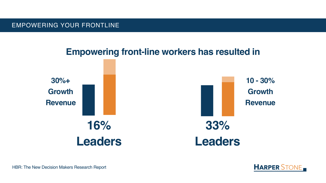



**30%+ Growth Revenue**

# **16% Leaders**

**10 - 30% Growth Revenue**



# **Empowering front-line workers has resulted in**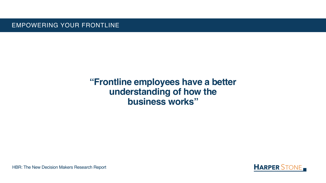



# **"Frontline employees have a better understanding of how the business works"**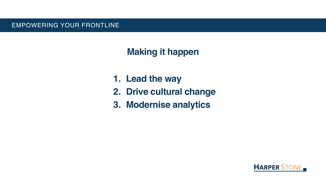



- **1. Lead the way**
- 
- 

**2. Drive cultural change 3. Modernise analytics**

# **Making it happen**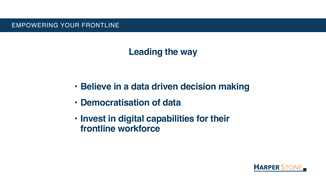



# **Leading the way**

# **• Believe in a data driven decision making**

- 
- **• Democratisation of data**
- **• Invest in digital capabilities for their frontline workforce**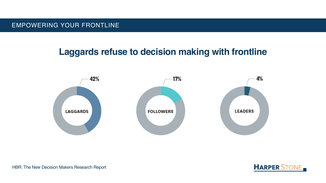



# **Laggards refuse to decision making with frontline**



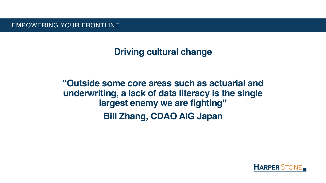



# **Driving cultural change**

# **"Outside some core areas such as actuarial and underwriting, a lack of data literacy is the single largest enemy we are fighting" Bill Zhang, CDAO AIG Japan**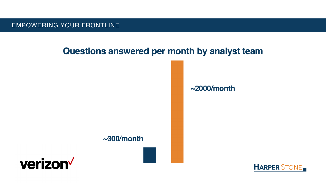



# **Questions answered per month by analyst team**

**~300/month**



## **~2000/month**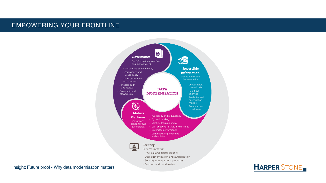• Availability and redundancy • Dynamic scaling • Machine learning and AI • Cost effective services and features • Optimised performance • Continuous improvement and evolution

- 
- 
- Process audit and review
- stewardship

# 87

- Consolidated, cleaned data
- Real-time analytics
- Predictive and optimisation models
- Secure access for all users



### **Accessible Information:** *For insight-driven*

*business value*

#### **Mature**

#### **Platforms:**

*For growth, scalability and extensibility*

 $\frac{1}{2}$ 



*For access control*

• Physical and digital security

- 
- **Security:**
- 
- User authentication and authorisation
- Security management processes
- Controls audit and review

Insight: Future proof - Why data modernisation matters **FIARPER STONE** yht: Future proof - VV

## EMPOWERING YOUR FRONTLINE

*Data modernisation is the process of designing a data estate that copes well with today's data*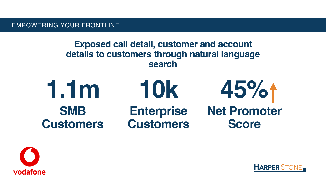



# **1.1m SMB Customers**



# **45% Net Promoter Score**

**10k Enterprise Customers**

# **Exposed call detail, customer and account details to customers through natural language search**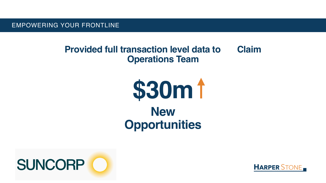



# **Provided full transaction level data to Claim Operations Team**



# **\$30m New Opportunities**

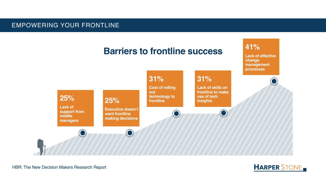





## **31%**

**Cost of rolling technology to frontline**

## **31%**

**Lack of skills on frontline to make use of tech insights**

## **41%**

**Lack of effective change management processes**



# **Barriers to frontline success**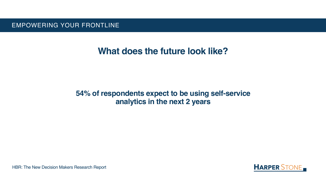



# **What does the future look like?**

## **54% of respondents expect to be using self-service analytics in the next 2 years**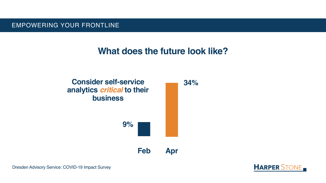## Consider self-service 34% **analytics** *critical* **to their business**

# **What does the future look like?**









Dresden Advisory Service: COVID-19 Impact Survey **HARPER** STONE

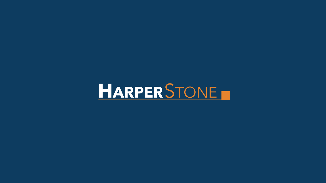